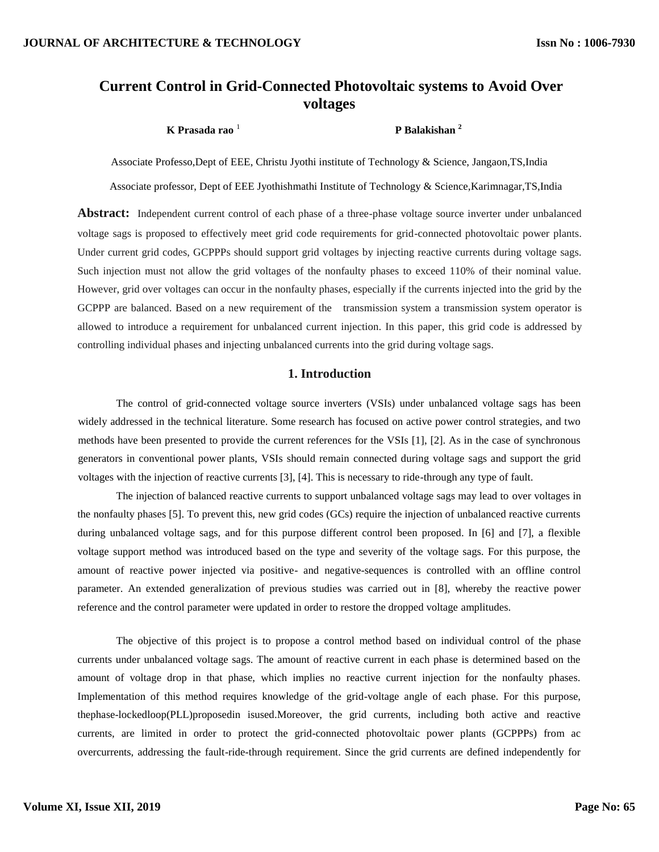# **Current Control in Grid-Connected Photovoltaic systems to Avoid Over voltages**

 **K Prasada rao** <sup>1</sup>

### **P Balakishan <sup>2</sup>**

Associate Professo,Dept of EEE, Christu Jyothi institute of Technology & Science, Jangaon,TS,India

Associate professor, Dept of EEE Jyothishmathi Institute of Technology & Science,Karimnagar,TS,India

**Abstract:** Independent current control of each phase of a three-phase voltage source inverter under unbalanced voltage sags is proposed to effectively meet grid code requirements for grid-connected photovoltaic power plants. Under current grid codes, GCPPPs should support grid voltages by injecting reactive currents during voltage sags. Such injection must not allow the grid voltages of the nonfaulty phases to exceed 110% of their nominal value. However, grid over voltages can occur in the nonfaulty phases, especially if the currents injected into the grid by the GCPPP are balanced. Based on a new requirement of the transmission system a transmission system operator is allowed to introduce a requirement for unbalanced current injection. In this paper, this grid code is addressed by controlling individual phases and injecting unbalanced currents into the grid during voltage sags.

### **1. Introduction**

The control of grid-connected voltage source inverters (VSIs) under unbalanced voltage sags has been widely addressed in the technical literature. Some research has focused on active power control strategies, and two methods have been presented to provide the current references for the VSIs [1], [2]. As in the case of synchronous generators in conventional power plants, VSIs should remain connected during voltage sags and support the grid voltages with the injection of reactive currents [3], [4]. This is necessary to ride-through any type of fault.

The injection of balanced reactive currents to support unbalanced voltage sags may lead to over voltages in the nonfaulty phases [5]. To prevent this, new grid codes (GCs) require the injection of unbalanced reactive currents during unbalanced voltage sags, and for this purpose different control been proposed. In [6] and [7], a flexible voltage support method was introduced based on the type and severity of the voltage sags. For this purpose, the amount of reactive power injected via positive- and negative-sequences is controlled with an offline control parameter. An extended generalization of previous studies was carried out in [8], whereby the reactive power reference and the control parameter were updated in order to restore the dropped voltage amplitudes.

The objective of this project is to propose a control method based on individual control of the phase currents under unbalanced voltage sags. The amount of reactive current in each phase is determined based on the amount of voltage drop in that phase, which implies no reactive current injection for the nonfaulty phases. Implementation of this method requires knowledge of the grid-voltage angle of each phase. For this purpose, thephase-lockedloop(PLL)proposedin isused.Moreover, the grid currents, including both active and reactive currents, are limited in order to protect the grid-connected photovoltaic power plants (GCPPPs) from ac overcurrents, addressing the fault-ride-through requirement. Since the grid currents are defined independently for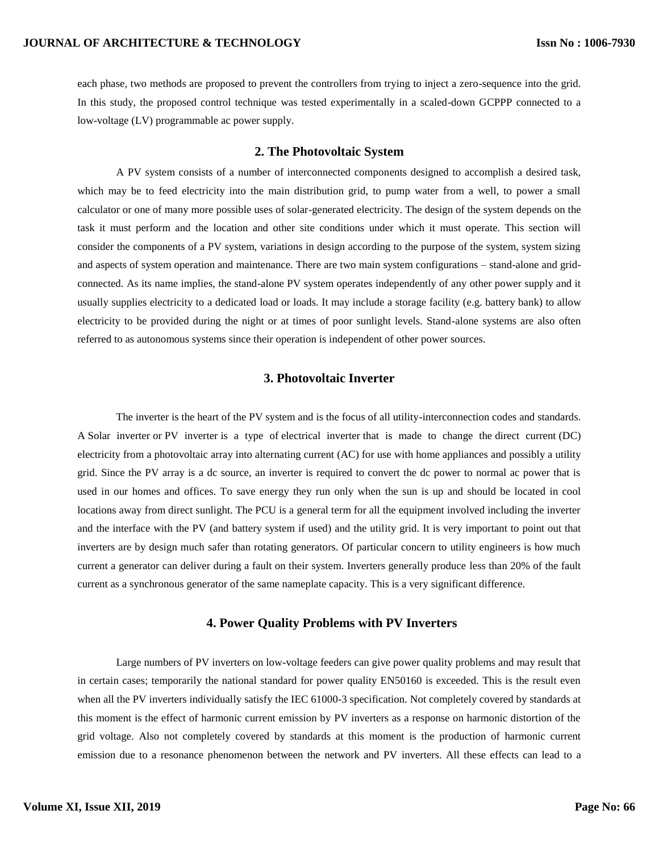each phase, two methods are proposed to prevent the controllers from trying to inject a zero-sequence into the grid. In this study, the proposed control technique was tested experimentally in a scaled-down GCPPP connected to a low-voltage (LV) programmable ac power supply.

#### **2. The Photovoltaic System**

A PV system consists of a number of interconnected components designed to accomplish a desired task, which may be to feed electricity into the main distribution grid, to pump water from a well, to power a small calculator or one of many more possible uses of solar-generated electricity. The design of the system depends on the task it must perform and the location and other site conditions under which it must operate. This section will consider the components of a PV system, variations in design according to the purpose of the system, system sizing and aspects of system operation and maintenance. There are two main system configurations – stand-alone and gridconnected. As its name implies, the stand-alone PV system operates independently of any other power supply and it usually supplies electricity to a dedicated load or loads. It may include a storage facility (e.g. battery bank) to allow electricity to be provided during the night or at times of poor sunlight levels. Stand-alone systems are also often referred to as autonomous systems since their operation is independent of other power sources.

### **3. Photovoltaic Inverter**

The inverter is the heart of the PV system and is the focus of all utility-interconnection codes and standards. A Solar inverter or PV inverter is a type of [electrical inverter](http://en.wikipedia.org/wiki/Electrical_inverter) that is made to change the [direct current](http://en.wikipedia.org/wiki/Direct_current) (DC) electricity from a [photovoltaic array](http://en.wikipedia.org/wiki/Photovoltaic_array) into [alternating current](http://en.wikipedia.org/wiki/Alternating_current) (AC) for use with home appliances and possibly a [utility](http://en.wikipedia.org/wiki/Utility_grid)  [grid.](http://en.wikipedia.org/wiki/Utility_grid) Since the PV array is a dc source, an inverter is required to convert the dc power to normal ac power that is used in our homes and offices. To save energy they run only when the sun is up and should be located in cool locations away from direct sunlight. The PCU is a general term for all the equipment involved including the inverter and the interface with the PV (and battery system if used) and the utility grid. It is very important to point out that inverters are by design much safer than rotating generators. Of particular concern to utility engineers is how much current a generator can deliver during a fault on their system. Inverters generally produce less than 20% of the fault current as a synchronous generator of the same nameplate capacity. This is a very significant difference.

#### **4. Power Quality Problems with PV Inverters**

Large numbers of PV inverters on low-voltage feeders can give power quality problems and may result that in certain cases; temporarily the national standard for power quality EN50160 is exceeded. This is the result even when all the PV inverters individually satisfy the IEC 61000-3 specification. Not completely covered by standards at this moment is the effect of harmonic current emission by PV inverters as a response on harmonic distortion of the grid voltage. Also not completely covered by standards at this moment is the production of harmonic current emission due to a resonance phenomenon between the network and PV inverters. All these effects can lead to a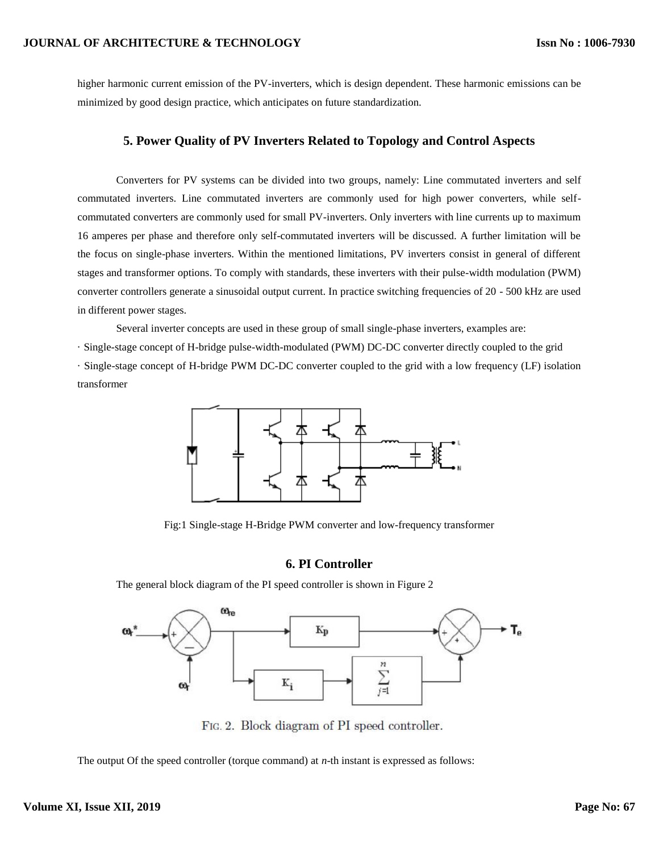#### **JOURNAL OF ARCHITECTURE & TECHNOLOGY**

higher harmonic current emission of the PV-inverters, which is design dependent. These harmonic emissions can be minimized by good design practice, which anticipates on future standardization.

### **5. Power Quality of PV Inverters Related to Topology and Control Aspects**

Converters for PV systems can be divided into two groups, namely: Line commutated inverters and self commutated inverters. Line commutated inverters are commonly used for high power converters, while selfcommutated converters are commonly used for small PV-inverters. Only inverters with line currents up to maximum 16 amperes per phase and therefore only self-commutated inverters will be discussed. A further limitation will be the focus on single-phase inverters. Within the mentioned limitations, PV inverters consist in general of different stages and transformer options. To comply with standards, these inverters with their pulse-width modulation (PWM) converter controllers generate a sinusoidal output current. In practice switching frequencies of 20 - 500 kHz are used in different power stages.

Several inverter concepts are used in these group of small single-phase inverters, examples are:

· Single-stage concept of H-bridge pulse-width-modulated (PWM) DC-DC converter directly coupled to the grid · Single-stage concept of H-bridge PWM DC-DC converter coupled to the grid with a low frequency (LF) isolation transformer



Fig:1 Single-stage H-Bridge PWM converter and low-frequency transformer

### **6. PI Controller**

The general block diagram of the PI speed controller is shown in Figure 2



FIG. 2. Block diagram of PI speed controller.

The output Of the speed controller (torque command) at *n*-th instant is expressed as follows: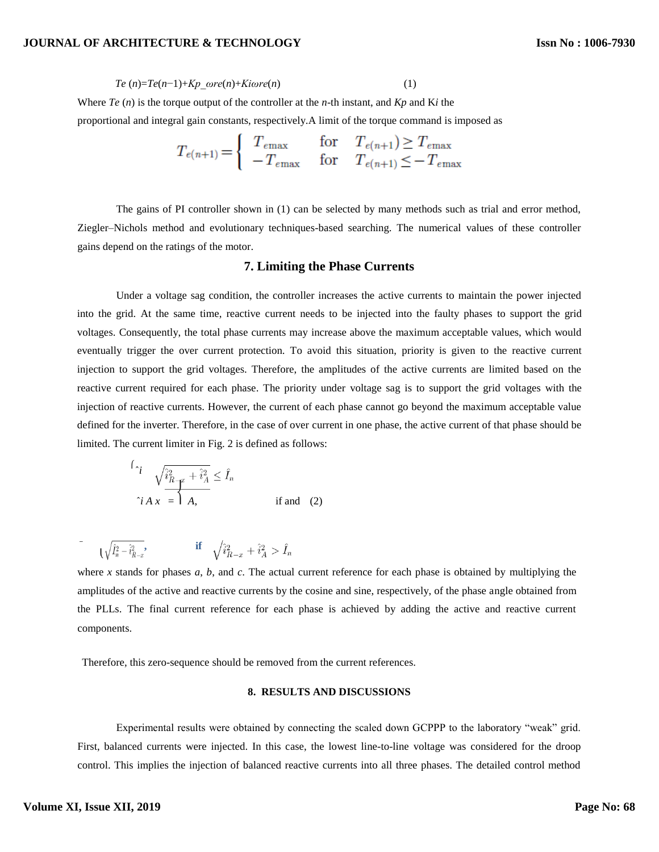#### **JOURNAL OF ARCHITECTURE & TECHNOLOGY**

 $Te(n)=Te(n-1)+Kp\ \omega re(n)+Ki\omega re(n)$  (1)

Where *Te* (*n*) is the torque output of the controller at the *n*-th instant, and *Kp* and K*i* the

proportional and integral gain constants, respectively.A limit of the torque command is imposed as

$$
T_{e(n+1)} = \begin{cases} T_{e\text{max}} & \text{for} \quad T_{e(n+1)} \ge T_{e\text{max}} \\ -T_{e\text{max}} & \text{for} \quad T_{e(n+1)} \le -T_{e\text{max}} \end{cases}
$$

The gains of PI controller shown in (1) can be selected by many methods such as trial and error method, Ziegler–Nichols method and evolutionary techniques-based searching. The numerical values of these controller gains depend on the ratings of the motor.

#### **7. Limiting the Phase Currents**

Under a voltage sag condition, the controller increases the active currents to maintain the power injected into the grid. At the same time, reactive current needs to be injected into the faulty phases to support the grid voltages. Consequently, the total phase currents may increase above the maximum acceptable values, which would eventually trigger the over current protection. To avoid this situation, priority is given to the reactive current injection to support the grid voltages. Therefore, the amplitudes of the active currents are limited based on the reactive current required for each phase. The priority under voltage sag is to support the grid voltages with the injection of reactive currents. However, the current of each phase cannot go beyond the maximum acceptable value defined for the inverter. Therefore, in the case of over current in one phase, the active current of that phase should be limited. The current limiter in Fig. 2 is defined as follows:

$$
\int_{i}^{i} \sqrt{\hat{i}_{R}^{2} - x} + \hat{i}_{A}^{2} \leq \hat{I}_{n}
$$
\n
$$
\hat{i} A x = \overline{A}, \qquad \text{if and} \quad (2)
$$

$$
\qquad \qquad \mathrm{if} \quad \sqrt{\widehat{l}_{n}^{2}-\widehat{i}_{R-x}^{2}}, \qquad \qquad \mathrm{if} \quad \sqrt{\widehat{i}_{R-x}^{2}+\widehat{i}_{A}^{2}}>\widehat{I}_{n}
$$

where *x* stands for phases *a*, *b*, and *c*. The actual current reference for each phase is obtained by multiplying the amplitudes of the active and reactive currents by the cosine and sine, respectively, of the phase angle obtained from the PLLs. The final current reference for each phase is achieved by adding the active and reactive current components.

Therefore, this zero-sequence should be removed from the current references.

#### **8. RESULTS AND DISCUSSIONS**

Experimental results were obtained by connecting the scaled down GCPPP to the laboratory "weak" grid. First, balanced currents were injected. In this case, the lowest line-to-line voltage was considered for the droop control. This implies the injection of balanced reactive currents into all three phases. The detailed control method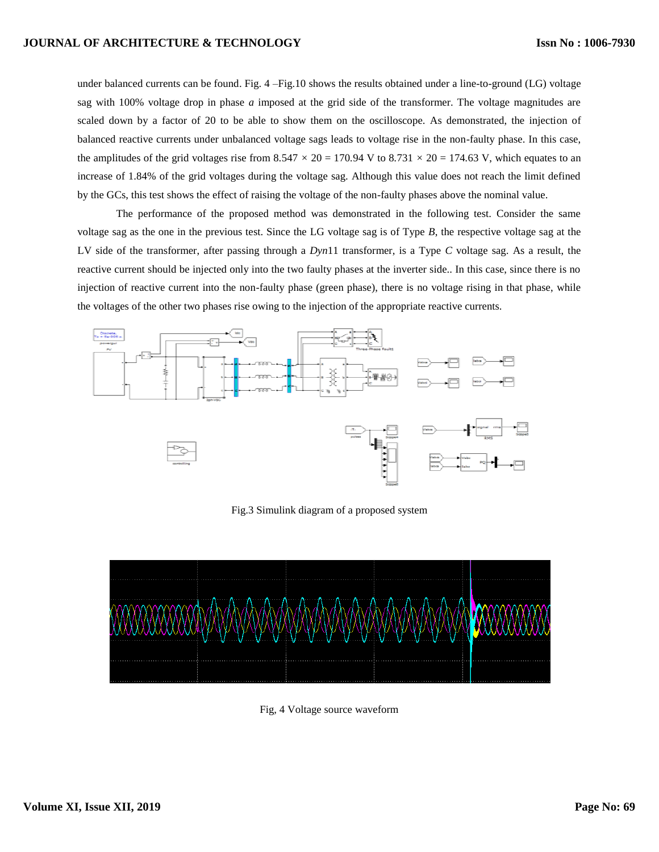under balanced currents can be found. Fig. 4 –Fig.10 shows the results obtained under a line-to-ground (LG) voltage sag with 100% voltage drop in phase *a* imposed at the grid side of the transformer. The voltage magnitudes are scaled down by a factor of 20 to be able to show them on the oscilloscope. As demonstrated, the injection of balanced reactive currents under unbalanced voltage sags leads to voltage rise in the non-faulty phase. In this case, the amplitudes of the grid voltages rise from  $8.547 \times 20 = 170.94$  V to  $8.731 \times 20 = 174.63$  V, which equates to an increase of 1.84% of the grid voltages during the voltage sag. Although this value does not reach the limit defined by the GCs, this test shows the effect of raising the voltage of the non-faulty phases above the nominal value.

The performance of the proposed method was demonstrated in the following test. Consider the same voltage sag as the one in the previous test. Since the LG voltage sag is of Type *B*, the respective voltage sag at the LV side of the transformer, after passing through a *Dyn*11 transformer, is a Type *C* voltage sag. As a result, the reactive current should be injected only into the two faulty phases at the inverter side.. In this case, since there is no injection of reactive current into the non-faulty phase (green phase), there is no voltage rising in that phase, while the voltages of the other two phases rise owing to the injection of the appropriate reactive currents.



Fig.3 Simulink diagram of a proposed system



Fig, 4 Voltage source waveform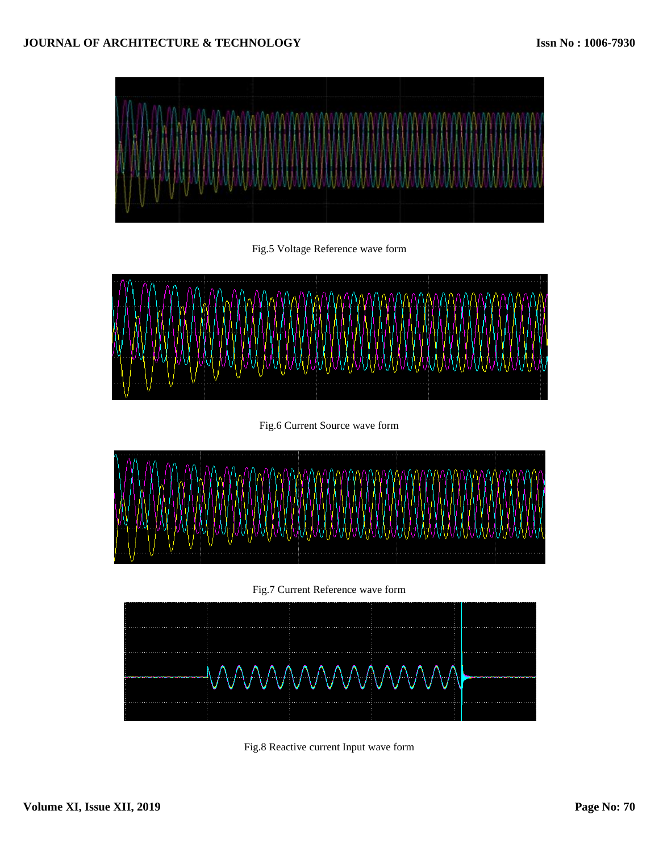

Fig.5 Voltage Reference wave form



Fig.6 Current Source wave form



Fig.7 Current Reference wave form



Fig.8 Reactive current Input wave form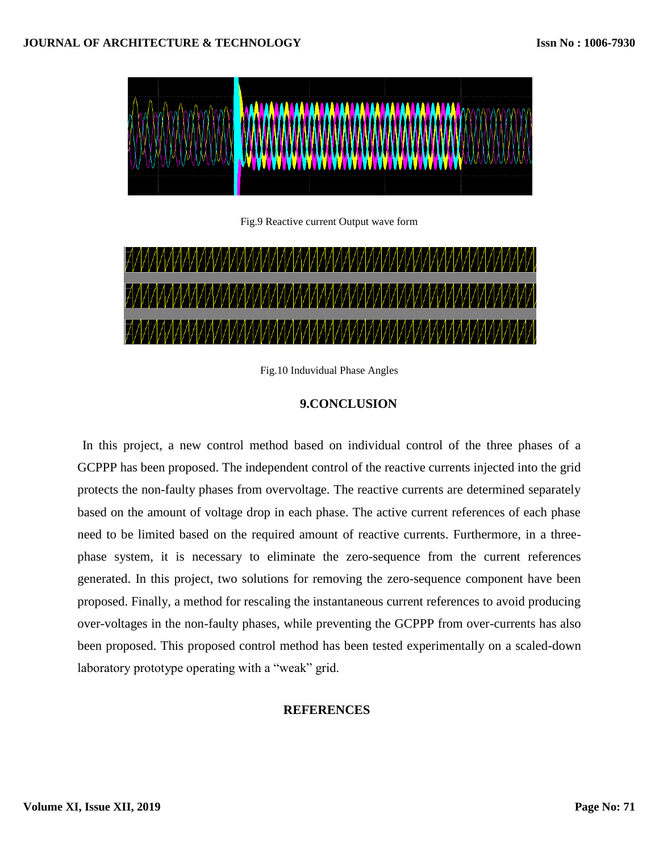

Fig.9 Reactive current Output wave form



Fig.10 Induvidual Phase Angles

# **9.CONCLUSION**

In this project, a new control method based on individual control of the three phases of a GCPPP has been proposed. The independent control of the reactive currents injected into the grid protects the non-faulty phases from overvoltage. The reactive currents are determined separately based on the amount of voltage drop in each phase. The active current references of each phase need to be limited based on the required amount of reactive currents. Furthermore, in a threephase system, it is necessary to eliminate the zero-sequence from the current references generated. In this project, two solutions for removing the zero-sequence component have been proposed. Finally, a method for rescaling the instantaneous current references to avoid producing over-voltages in the non-faulty phases, while preventing the GCPPP from over-currents has also been proposed. This proposed control method has been tested experimentally on a scaled-down laboratory prototype operating with a "weak" grid.

# **REFERENCES**